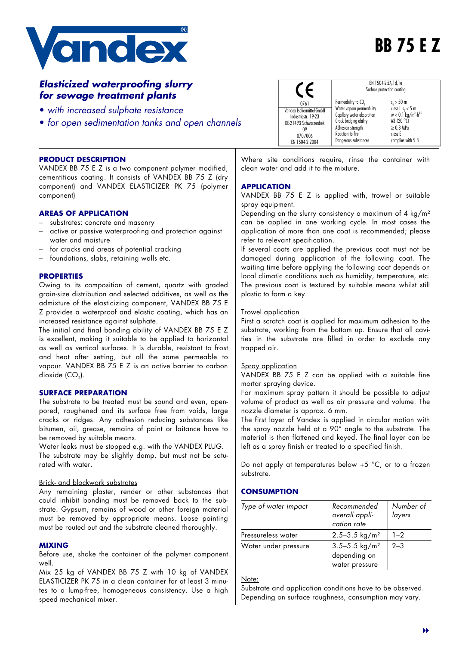

# **BB 75 E Z**

# *Elasticized waterproofing slurry for sewage treatment plants*

- • *with increased sulphate resistance*
- • *for open sedimentation tanks and open channels*

|                           | EN 1504-2:ZA, 1d, 1e<br>Surface protection coating |                                               |  |
|---------------------------|----------------------------------------------------|-----------------------------------------------|--|
| 0761                      | Permeability to CO <sub>2</sub>                    | $s_n > 50$ m                                  |  |
| Vandex Isoliermittel-GmbH | Water vapour permeability                          | class $1 s_n < 5 m$                           |  |
| Industriestr. 19-23       | Capillary water absorption                         | $w < 0.1$ kg/m <sup>2</sup> -h <sup>0,5</sup> |  |
| DE-21493 Schwarzenbek     | Crack bridging ability                             | A3 $(20 °C)$                                  |  |
| 09                        | Adhesion strength                                  | $\geq 0.8$ MPa                                |  |
| 070/006                   | Reaction to fire                                   | class E                                       |  |
| EN 1504-2:2004            | Dangerous substances                               | complies with 5.3                             |  |

#### **PRODUCT DESCRIPTION**

VANDEX BB 75 E Z is a two component polymer modified, cementitious coating. It consists of VANDEX BB 75 Z (dry component) and VANDEX ELASTICIZER PK 75 (polymer component)

# **AREAS OF APPLICATION**

- substrates: concrete and masonry
- active or passive waterproofing and protection against water and moisture
- for cracks and areas of potential cracking
- foundations, slabs, retaining walls etc.

#### **PROPERTIES**

Owing to its composition of cement, quartz with graded grain-size distribution and selected additives, as well as the admixture of the elasticizing component, VANDEX BB 75 E Z provides a waterproof and elastic coating, which has an increased resistance against sulphate.

The initial and final bonding ability of VANDEX BB 75 E Z is excellent, making it suitable to be applied to horizontal as well as vertical surfaces. It is durable, resistant to frost and heat after setting, but all the same permeable to vapour. VANDEX BB 75 E Z is an active barrier to carbon dioxide (CO.).

# **SURFACE PREPARATION**

The substrate to be treated must be sound and even, openpored, roughened and its surface free from voids, large cracks or ridges. Any adhesion reducing substances like bitumen, oil, grease, remains of paint or laitance have to be removed by suitable means.

Water leaks must be stopped e.g. with the VANDEX PLUG. The substrate may be slightly damp, but must not be saturated with water.

# Brick- and blockwork substrates

Any remaining plaster, render or other substances that could inhibit bonding must be removed back to the substrate. Gypsum, remains of wood or other foreign material must be removed by appropriate means. Loose pointing must be routed out and the substrate cleaned thoroughly.

# **MIXING**

Before use, shake the container of the polymer component well.

Mix 25 kg of VANDEX BB 75 Z with 10 kg of VANDEX ELASTICIZER PK 75 in a clean container for at least 3 minutes to a lump-free, homogeneous consistency. Use a high speed mechanical mixer.

Where site conditions require, rinse the container with clean water and add it to the mixture.

### **APPLICATION**

VANDEX BB 75 E Z is applied with, trowel or suitable spray equipment.

Depending on the slurry consistency a maximum of 4 kg/m² can be applied in one working cycle. In most cases the application of more than one coat is recommended; please refer to relevant specification.

If several coats are applied the previous coat must not be damaged during application of the following coat. The waiting time before applying the following coat depends on local climatic conditions such as humidity, temperature, etc. The previous coat is textured by suitable means whilst still plastic to form a key.

#### Trowel application

First a scratch coat is applied for maximum adhesion to the substrate, working from the bottom up. Ensure that all cavities in the substrate are filled in order to exclude any trapped air.

#### Spray application

VANDEX BB 75 E Z can be applied with a suitable fine mortar spraying device.

For maximum spray pattern it should be possible to adjust volume of product as well as air pressure and volume. The nozzle diameter is approx. 6 mm.

The first layer of Vandex is applied in circular motion with the spray nozzle held at a 90° angle to the substrate. The material is then flattened and keyed. The final layer can be left as a spray finish or treated to a specified finish.

Do not apply at temperatures below +5 °C, or to a frozen substrate.

# **CONSUMPTION**

| Type of water impact | Recommended<br>overall appli-<br>cation rate      | Number of<br>layers |
|----------------------|---------------------------------------------------|---------------------|
| Pressureless water   | $2.5 - 3.5$ kg/m <sup>2</sup>                     | $1 - 2$             |
| Water under pressure | 3.5-5.5 $kg/m2$<br>depending on<br>water pressure | $2 - 3$             |

#### Note:

Substrate and application conditions have to be observed. Depending on surface roughness, consumption may vary.